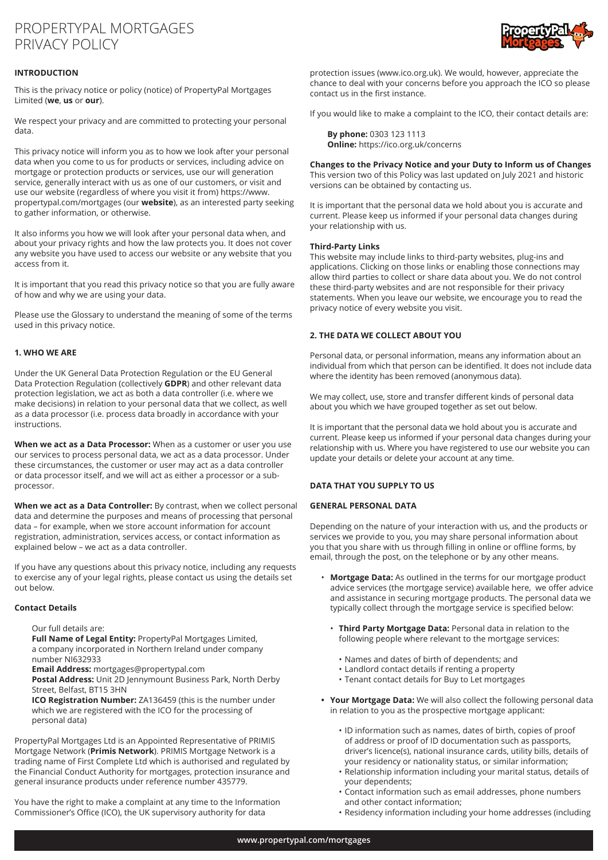# PROPERTYPAL MORTGAGES PRIVACY POLICY

# **INTRODUCTION**

This is the privacy notice or policy (notice) of PropertyPal Mortgages Limited (**we**, **us** or **our**).

We respect your privacy and are committed to protecting your personal data.

This privacy notice will inform you as to how we look after your personal data when you come to us for products or services, including advice on mortgage or protection products or services, use our will generation service, generally interact with us as one of our customers, or visit and use our website (regardless of where you visit it from) https://www. propertypal.com/mortgages (our **website**), as an interested party seeking to gather information, or otherwise.

It also informs you how we will look after your personal data when, and about your privacy rights and how the law protects you. It does not cover any website you have used to access our website or any website that you access from it.

It is important that you read this privacy notice so that you are fully aware of how and why we are using your data.

Please use the Glossary to understand the meaning of some of the terms used in this privacy notice.

# **1. WHO WE ARE**

Under the UK General Data Protection Regulation or the EU General Data Protection Regulation (collectively **GDPR**) and other relevant data protection legislation, we act as both a data controller (i.e. where we make decisions) in relation to your personal data that we collect, as well as a data processor (i.e. process data broadly in accordance with your instructions.

**When we act as a Data Processor:** When as a customer or user you use our services to process personal data, we act as a data processor. Under these circumstances, the customer or user may act as a data controller or data processor itself, and we will act as either a processor or a subprocessor.

**When we act as a Data Controller:** By contrast, when we collect personal data and determine the purposes and means of processing that personal data – for example, when we store account information for account registration, administration, services access, or contact information as explained below – we act as a data controller.

If you have any questions about this privacy notice, including any requests to exercise any of your legal rights, please contact us using the details set out below.

# **Contact Details**

Our full details are:

**Full Name of Legal Entity:** PropertyPal Mortgages Limited, a company incorporated in Northern Ireland under company number NI632933

**Email Address:** mortgages@propertypal.com

**Postal Address:** Unit 2D Jennymount Business Park, North Derby Street, Belfast, BT15 3HN

**ICO Registration Number:** ZA136459 (this is the number under which we are registered with the ICO for the processing of personal data)

PropertyPal Mortgages Ltd is an Appointed Representative of PRIMIS Mortgage Network (**Primis Network**). PRIMIS Mortgage Network is a trading name of First Complete Ltd which is authorised and regulated by the Financial Conduct Authority for mortgages, protection insurance and general insurance products under reference number 435779.

You have the right to make a complaint at any time to the Information Commissioner's Office (ICO), the UK supervisory authority for data



protection issues (www.ico.org.uk). We would, however, appreciate the chance to deal with your concerns before you approach the ICO so please contact us in the first instance.

If you would like to make a complaint to the ICO, their contact details are:

**By phone:** 0303 123 1113 **Online:** https://ico.org.uk/concerns

**Changes to the Privacy Notice and your Duty to Inform us of Changes** This version two of this Policy was last updated on July 2021 and historic versions can be obtained by contacting us.

It is important that the personal data we hold about you is accurate and current. Please keep us informed if your personal data changes during your relationship with us.

## **Third-Party Links**

This website may include links to third-party websites, plug-ins and applications. Clicking on those links or enabling those connections may allow third parties to collect or share data about you. We do not control these third-party websites and are not responsible for their privacy statements. When you leave our website, we encourage you to read the privacy notice of every website you visit.

# **2. THE DATA WE COLLECT ABOUT YOU**

Personal data, or personal information, means any information about an individual from which that person can be identified. It does not include data where the identity has been removed (anonymous data).

We may collect, use, store and transfer different kinds of personal data about you which we have grouped together as set out below.

It is important that the personal data we hold about you is accurate and current. Please keep us informed if your personal data changes during your relationship with us. Where you have registered to use our website you can update your details or delete your account at any time.

# **DATA THAT YOU SUPPLY TO US**

# **GENERAL PERSONAL DATA**

Depending on the nature of your interaction with us, and the products or services we provide to you, you may share personal information about you that you share with us through filling in online or offline forms, by email, through the post, on the telephone or by any other means.

- **Mortgage Data:** As outlined in the terms for our mortgage product advice services (the mortgage service) available here, we offer advice and assistance in securing mortgage products. The personal data we typically collect through the mortgage service is specified below:
	- **Third Party Mortgage Data:** Personal data in relation to the following people where relevant to the mortgage services:
		- Names and dates of birth of dependents; and
		- Landlord contact details if renting a property
		- Tenant contact details for Buy to Let mortgages
- **• Your Mortgage Data:** We will also collect the following personal data in relation to you as the prospective mortgage applicant:
	- ID information such as names, dates of birth, copies of proof of address or proof of ID documentation such as passports, driver's licence(s), national insurance cards, utility bills, details of your residency or nationality status, or similar information; • Relationship information including your marital status, details of
	- your dependents;
	- Contact information such as email addresses, phone numbers and other contact information;
	- Residency information including your home addresses (including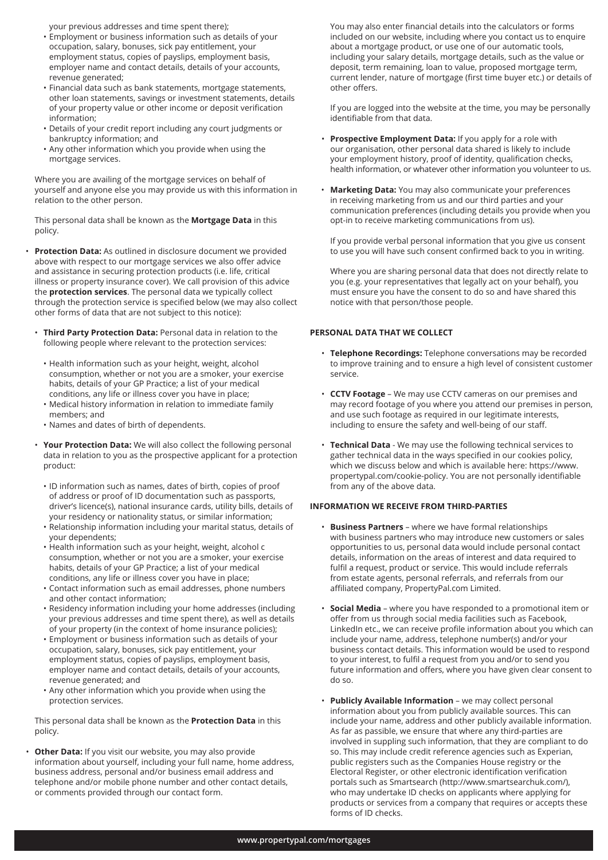your previous addresses and time spent there);

- Employment or business information such as details of your occupation, salary, bonuses, sick pay entitlement, your employment status, copies of payslips, employment basis, employer name and contact details, details of your accounts, revenue generated;
- Financial data such as bank statements, mortgage statements, other loan statements, savings or investment statements, details of your property value or other income or deposit verification information;
- Details of your credit report including any court judgments or bankruptcy information; and
- Any other information which you provide when using the mortgage services.

 Where you are availing of the mortgage services on behalf of yourself and anyone else you may provide us with this information in relation to the other person.

 This personal data shall be known as the **Mortgage Data** in this policy.

- **Protection Data:** As outlined in disclosure document we provided above with respect to our mortgage services we also offer advice and assistance in securing protection products (i.e. life, critical illness or property insurance cover). We call provision of this advice the **protection services**. The personal data we typically collect through the protection service is specified below (we may also collect other forms of data that are not subject to this notice):
- **Third Party Protection Data:** Personal data in relation to the following people where relevant to the protection services:
	- Health information such as your height, weight, alcohol consumption, whether or not you are a smoker, your exercise habits, details of your GP Practice; a list of your medical conditions, any life or illness cover you have in place;
	- Medical history information in relation to immediate family members; and
	- Names and dates of birth of dependents.
- **Your Protection Data:** We will also collect the following personal data in relation to you as the prospective applicant for a protection product:
	- ID information such as names, dates of birth, copies of proof of address or proof of ID documentation such as passports, driver's licence(s), national insurance cards, utility bills, details of your residency or nationality status, or similar information;
	- Relationship information including your marital status, details of your dependents;
	- Health information such as your height, weight, alcohol c consumption, whether or not you are a smoker, your exercise habits, details of your GP Practice; a list of your medical conditions, any life or illness cover you have in place;
	- Contact information such as email addresses, phone numbers and other contact information;
	- Residency information including your home addresses (including your previous addresses and time spent there), as well as details of your property (in the context of home insurance policies);
	- Employment or business information such as details of your occupation, salary, bonuses, sick pay entitlement, your employment status, copies of payslips, employment basis, employer name and contact details, details of your accounts, revenue generated; and
	- Any other information which you provide when using the protection services.

 This personal data shall be known as the **Protection Data** in this policy.

 • **Other Data:** If you visit our website, you may also provide information about yourself, including your full name, home address, business address, personal and/or business email address and telephone and/or mobile phone number and other contact details, or comments provided through our contact form.

You may also enter financial details into the calculators or forms included on our website, including where you contact us to enquire about a mortgage product, or use one of our automatic tools, including your salary details, mortgage details, such as the value or deposit, term remaining, loan to value, proposed mortgage term, current lender, nature of mortgage (first time buyer etc.) or details of other offers.

 If you are logged into the website at the time, you may be personally identifiable from that data.

- **Prospective Employment Data:** If you apply for a role with our organisation, other personal data shared is likely to include your employment history, proof of identity, qualification checks, health information, or whatever other information you volunteer to us.
- **Marketing Data:** You may also communicate your preferences in receiving marketing from us and our third parties and your communication preferences (including details you provide when you opt-in to receive marketing communications from us).

 If you provide verbal personal information that you give us consent to use you will have such consent confirmed back to you in writing.

 Where you are sharing personal data that does not directly relate to you (e.g. your representatives that legally act on your behalf), you must ensure you have the consent to do so and have shared this notice with that person/those people.

# **PERSONAL DATA THAT WE COLLECT**

- **Telephone Recordings:** Telephone conversations may be recorded to improve training and to ensure a high level of consistent customer service.
- **CCTV Footage** We may use CCTV cameras on our premises and may record footage of you where you attend our premises in person, and use such footage as required in our legitimate interests, including to ensure the safety and well-being of our staff.
- **Technical Data** We may use the following technical services to gather technical data in the ways specified in our cookies policy, which we discuss below and which is available here: https://www. propertypal.com/cookie-policy. You are not personally identifiable from any of the above data.

#### **INFORMATION WE RECEIVE FROM THIRD-PARTIES**

- **Business Partners** where we have formal relationships with business partners who may introduce new customers or sales opportunities to us, personal data would include personal contact details, information on the areas of interest and data required to fulfil a request, product or service. This would include referrals from estate agents, personal referrals, and referrals from our affiliated company, PropertyPal.com Limited.
- **Social Media**  where you have responded to a promotional item or offer from us through social media facilities such as Facebook, LinkedIn etc., we can receive profile information about you which can include your name, address, telephone number(s) and/or your business contact details. This information would be used to respond to your interest, to fulfil a request from you and/or to send you future information and offers, where you have given clear consent to do so.
- **Publicly Available Information** we may collect personal information about you from publicly available sources. This can include your name, address and other publicly available information. As far as passible, we ensure that where any third-parties are involved in suppling such information, that they are compliant to do so. This may include credit reference agencies such as Experian, public registers such as the Companies House registry or the Electoral Register, or other electronic identification verification portals such as Smartsearch (http://www.smartsearchuk.com/), who may undertake ID checks on applicants where applying for products or services from a company that requires or accepts these forms of ID checks.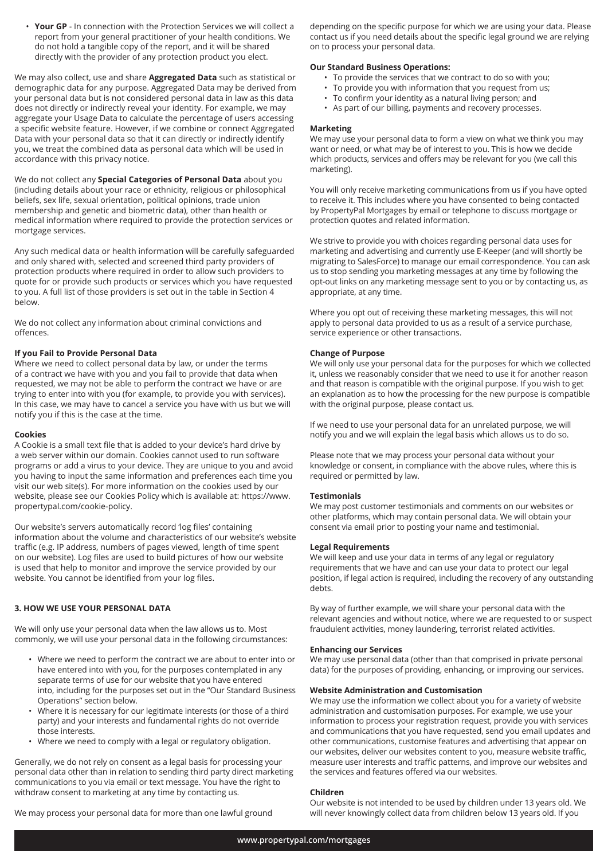• **Your GP** - In connection with the Protection Services we will collect a report from your general practitioner of your health conditions. We do not hold a tangible copy of the report, and it will be shared directly with the provider of any protection product you elect.

We may also collect, use and share **Aggregated Data** such as statistical or demographic data for any purpose. Aggregated Data may be derived from your personal data but is not considered personal data in law as this data does not directly or indirectly reveal your identity. For example, we may aggregate your Usage Data to calculate the percentage of users accessing a specific website feature. However, if we combine or connect Aggregated Data with your personal data so that it can directly or indirectly identify you, we treat the combined data as personal data which will be used in accordance with this privacy notice.

We do not collect any **Special Categories of Personal Data** about you (including details about your race or ethnicity, religious or philosophical beliefs, sex life, sexual orientation, political opinions, trade union membership and genetic and biometric data), other than health or medical information where required to provide the protection services or mortgage services.

Any such medical data or health information will be carefully safeguarded and only shared with, selected and screened third party providers of protection products where required in order to allow such providers to quote for or provide such products or services which you have requested to you. A full list of those providers is set out in the table in Section 4 below.

We do not collect any information about criminal convictions and offences.

# **If you Fail to Provide Personal Data**

Where we need to collect personal data by law, or under the terms of a contract we have with you and you fail to provide that data when requested, we may not be able to perform the contract we have or are trying to enter into with you (for example, to provide you with services). In this case, we may have to cancel a service you have with us but we will notify you if this is the case at the time.

#### **Cookies**

A Cookie is a small text file that is added to your device's hard drive by a web server within our domain. Cookies cannot used to run software programs or add a virus to your device. They are unique to you and avoid you having to input the same information and preferences each time you visit our web site(s). For more information on the cookies used by our website, please see our Cookies Policy which is available at: https://www. propertypal.com/cookie-policy.

Our website's servers automatically record 'log files' containing information about the volume and characteristics of our website's website traffic (e.g. IP address, numbers of pages viewed, length of time spent on our website). Log files are used to build pictures of how our website is used that help to monitor and improve the service provided by our website. You cannot be identified from your log files.

# **3. HOW WE USE YOUR PERSONAL DATA**

We will only use your personal data when the law allows us to. Most commonly, we will use your personal data in the following circumstances:

- Where we need to perform the contract we are about to enter into or have entered into with you, for the purposes contemplated in any separate terms of use for our website that you have entered into, including for the purposes set out in the "Our Standard Business Operations" section below.
- Where it is necessary for our legitimate interests (or those of a third party) and your interests and fundamental rights do not override those interests.
- Where we need to comply with a legal or regulatory obligation.

Generally, we do not rely on consent as a legal basis for processing your personal data other than in relation to sending third party direct marketing communications to you via email or text message. You have the right to withdraw consent to marketing at any time by contacting us.

We may process your personal data for more than one lawful ground

depending on the specific purpose for which we are using your data. Please contact us if you need details about the specific legal ground we are relying on to process your personal data.

## **Our Standard Business Operations:**

- To provide the services that we contract to do so with you;
- To provide you with information that you request from us;
- To confirm your identity as a natural living person; and
- As part of our billing, payments and recovery processes.

#### **Marketing**

We may use your personal data to form a view on what we think you may want or need, or what may be of interest to you. This is how we decide which products, services and offers may be relevant for you (we call this marketing).

You will only receive marketing communications from us if you have opted to receive it. This includes where you have consented to being contacted by PropertyPal Mortgages by email or telephone to discuss mortgage or protection quotes and related information.

We strive to provide you with choices regarding personal data uses for marketing and advertising and currently use E-Keeper (and will shortly be migrating to SalesForce) to manage our email correspondence. You can ask us to stop sending you marketing messages at any time by following the opt-out links on any marketing message sent to you or by contacting us, as appropriate, at any time.

Where you opt out of receiving these marketing messages, this will not apply to personal data provided to us as a result of a service purchase, service experience or other transactions.

## **Change of Purpose**

We will only use your personal data for the purposes for which we collected it, unless we reasonably consider that we need to use it for another reason and that reason is compatible with the original purpose. If you wish to get an explanation as to how the processing for the new purpose is compatible with the original purpose, please contact us.

If we need to use your personal data for an unrelated purpose, we will notify you and we will explain the legal basis which allows us to do so.

Please note that we may process your personal data without your knowledge or consent, in compliance with the above rules, where this is required or permitted by law.

#### **Testimonials**

We may post customer testimonials and comments on our websites or other platforms, which may contain personal data. We will obtain your consent via email prior to posting your name and testimonial.

#### **Legal Requirements**

We will keep and use your data in terms of any legal or regulatory requirements that we have and can use your data to protect our legal position, if legal action is required, including the recovery of any outstanding debts.

By way of further example, we will share your personal data with the relevant agencies and without notice, where we are requested to or suspect fraudulent activities, money laundering, terrorist related activities.

#### **Enhancing our Services**

We may use personal data (other than that comprised in private personal data) for the purposes of providing, enhancing, or improving our services.

#### **Website Administration and Customisation**

We may use the information we collect about you for a variety of website administration and customisation purposes. For example, we use your information to process your registration request, provide you with services and communications that you have requested, send you email updates and other communications, customise features and advertising that appear on our websites, deliver our websites content to you, measure website traffic, measure user interests and traffic patterns, and improve our websites and the services and features offered via our websites.

#### **Children**

Our website is not intended to be used by children under 13 years old. We will never knowingly collect data from children below 13 years old. If you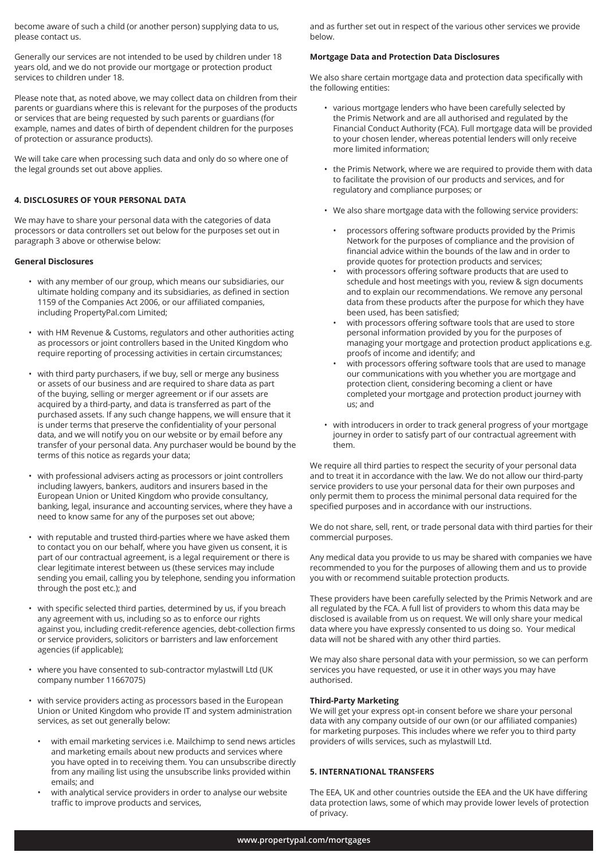become aware of such a child (or another person) supplying data to us, please contact us.

Generally our services are not intended to be used by children under 18 years old, and we do not provide our mortgage or protection product services to children under 18.

Please note that, as noted above, we may collect data on children from their parents or guardians where this is relevant for the purposes of the products or services that are being requested by such parents or guardians (for example, names and dates of birth of dependent children for the purposes of protection or assurance products).

We will take care when processing such data and only do so where one of the legal grounds set out above applies.

## **4. DISCLOSURES OF YOUR PERSONAL DATA**

We may have to share your personal data with the categories of data processors or data controllers set out below for the purposes set out in paragraph 3 above or otherwise below:

## **General Disclosures**

- with any member of our group, which means our subsidiaries, our ultimate holding company and its subsidiaries, as defined in section 1159 of the Companies Act 2006, or our affiliated companies, including PropertyPal.com Limited;
- with HM Revenue & Customs, regulators and other authorities acting as processors or joint controllers based in the United Kingdom who require reporting of processing activities in certain circumstances;
- with third party purchasers, if we buy, sell or merge any business or assets of our business and are required to share data as part of the buying, selling or merger agreement or if our assets are acquired by a third-party, and data is transferred as part of the purchased assets. If any such change happens, we will ensure that it is under terms that preserve the confidentiality of your personal data, and we will notify you on our website or by email before any transfer of your personal data. Any purchaser would be bound by the terms of this notice as regards your data;
- with professional advisers acting as processors or joint controllers including lawyers, bankers, auditors and insurers based in the European Union or United Kingdom who provide consultancy, banking, legal, insurance and accounting services, where they have a need to know same for any of the purposes set out above;
- with reputable and trusted third-parties where we have asked them to contact you on our behalf, where you have given us consent, it is part of our contractual agreement, is a legal requirement or there is clear legitimate interest between us (these services may include sending you email, calling you by telephone, sending you information through the post etc.); and
- with specific selected third parties, determined by us, if you breach any agreement with us, including so as to enforce our rights against you, including credit-reference agencies, debt-collection firms or service providers, solicitors or barristers and law enforcement agencies (if applicable);
- where you have consented to sub-contractor mylastwill Ltd (UK company number 11667075)
- with service providers acting as processors based in the European Union or United Kingdom who provide IT and system administration services, as set out generally below:
	- with email marketing services i.e. Mailchimp to send news articles and marketing emails about new products and services where you have opted in to receiving them. You can unsubscribe directly from any mailing list using the unsubscribe links provided within emails; and
	- with analytical service providers in order to analyse our website traffic to improve products and services,

and as further set out in respect of the various other services we provide below.

## **Mortgage Data and Protection Data Disclosures**

We also share certain mortgage data and protection data specifically with the following entities:

- various mortgage lenders who have been carefully selected by the Primis Network and are all authorised and regulated by the Financial Conduct Authority (FCA). Full mortgage data will be provided to your chosen lender, whereas potential lenders will only receive more limited information;
- the Primis Network, where we are required to provide them with data to facilitate the provision of our products and services, and for regulatory and compliance purposes; or
- We also share mortgage data with the following service providers:
	- processors offering software products provided by the Primis Network for the purposes of compliance and the provision of financial advice within the bounds of the law and in order to provide quotes for protection products and services;
	- with processors offering software products that are used to schedule and host meetings with you, review & sign documents and to explain our recommendations. We remove any personal data from these products after the purpose for which they have been used, has been satisfied;
	- with processors offering software tools that are used to store personal information provided by you for the purposes of managing your mortgage and protection product applications e.g. proofs of income and identify; and
	- with processors offering software tools that are used to manage our communications with you whether you are mortgage and protection client, considering becoming a client or have completed your mortgage and protection product journey with us; and
- with introducers in order to track general progress of your mortgage journey in order to satisfy part of our contractual agreement with them.

We require all third parties to respect the security of your personal data and to treat it in accordance with the law. We do not allow our third-party service providers to use your personal data for their own purposes and only permit them to process the minimal personal data required for the specified purposes and in accordance with our instructions.

We do not share, sell, rent, or trade personal data with third parties for their commercial purposes.

Any medical data you provide to us may be shared with companies we have recommended to you for the purposes of allowing them and us to provide you with or recommend suitable protection products.

These providers have been carefully selected by the Primis Network and are all regulated by the FCA. A full list of providers to whom this data may be disclosed is available from us on request. We will only share your medical data where you have expressly consented to us doing so. Your medical data will not be shared with any other third parties.

We may also share personal data with your permission, so we can perform services you have requested, or use it in other ways you may have authorised.

#### **Third-Party Marketing**

We will get your express opt-in consent before we share your personal data with any company outside of our own (or our affiliated companies) for marketing purposes. This includes where we refer you to third party providers of wills services, such as mylastwill Ltd.

## **5. INTERNATIONAL TRANSFERS**

The EEA, UK and other countries outside the EEA and the UK have differing data protection laws, some of which may provide lower levels of protection of privacy.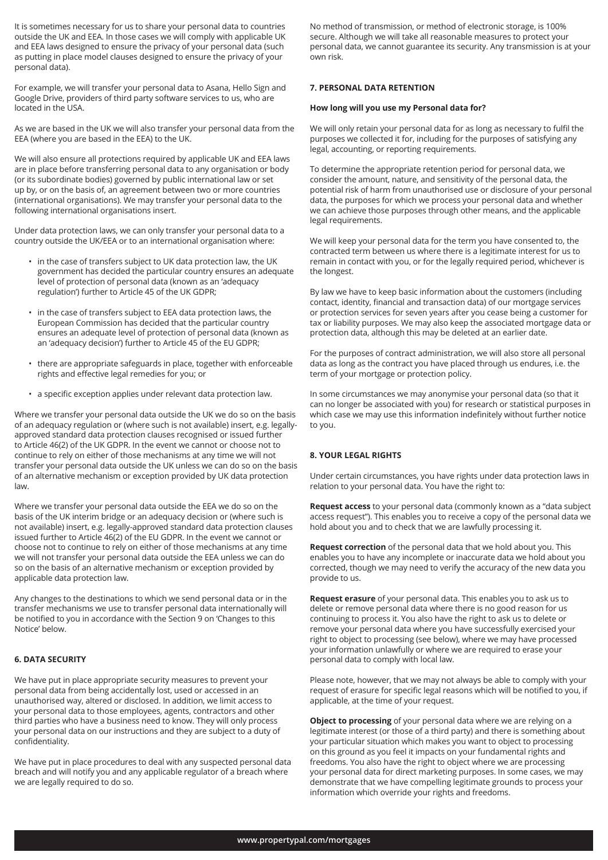It is sometimes necessary for us to share your personal data to countries outside the UK and EEA. In those cases we will comply with applicable UK and EEA laws designed to ensure the privacy of your personal data (such as putting in place model clauses designed to ensure the privacy of your personal data).

For example, we will transfer your personal data to Asana, Hello Sign and Google Drive, providers of third party software services to us, who are located in the USA.

As we are based in the UK we will also transfer your personal data from the EEA (where you are based in the EEA) to the UK.

We will also ensure all protections required by applicable UK and EEA laws are in place before transferring personal data to any organisation or body (or its subordinate bodies) governed by public international law or set up by, or on the basis of, an agreement between two or more countries (international organisations). We may transfer your personal data to the following international organisations insert.

Under data protection laws, we can only transfer your personal data to a country outside the UK/EEA or to an international organisation where:

- in the case of transfers subject to UK data protection law, the UK government has decided the particular country ensures an adequate level of protection of personal data (known as an 'adequacy regulation') further to Article 45 of the UK GDPR;
- in the case of transfers subject to EEA data protection laws, the European Commission has decided that the particular country ensures an adequate level of protection of personal data (known as an 'adequacy decision') further to Article 45 of the EU GDPR;
- there are appropriate safeguards in place, together with enforceable rights and effective legal remedies for you; or
- a specific exception applies under relevant data protection law.

Where we transfer your personal data outside the UK we do so on the basis of an adequacy regulation or (where such is not available) insert, e.g. legallyapproved standard data protection clauses recognised or issued further to Article 46(2) of the UK GDPR. In the event we cannot or choose not to continue to rely on either of those mechanisms at any time we will not transfer your personal data outside the UK unless we can do so on the basis of an alternative mechanism or exception provided by UK data protection law.

Where we transfer your personal data outside the EEA we do so on the basis of the UK interim bridge or an adequacy decision or (where such is not available) insert, e.g. legally-approved standard data protection clauses issued further to Article 46(2) of the EU GDPR. In the event we cannot or choose not to continue to rely on either of those mechanisms at any time we will not transfer your personal data outside the EEA unless we can do so on the basis of an alternative mechanism or exception provided by applicable data protection law.

Any changes to the destinations to which we send personal data or in the transfer mechanisms we use to transfer personal data internationally will be notified to you in accordance with the Section 9 on 'Changes to this Notice' below.

# **6. DATA SECURITY**

We have put in place appropriate security measures to prevent your personal data from being accidentally lost, used or accessed in an unauthorised way, altered or disclosed. In addition, we limit access to your personal data to those employees, agents, contractors and other third parties who have a business need to know. They will only process your personal data on our instructions and they are subject to a duty of confidentiality.

We have put in place procedures to deal with any suspected personal data breach and will notify you and any applicable regulator of a breach where we are legally required to do so.

No method of transmission, or method of electronic storage, is 100% secure. Although we will take all reasonable measures to protect your personal data, we cannot guarantee its security. Any transmission is at your own risk.

# **7. PERSONAL DATA RETENTION**

#### **How long will you use my Personal data for?**

We will only retain your personal data for as long as necessary to fulfil the purposes we collected it for, including for the purposes of satisfying any legal, accounting, or reporting requirements.

To determine the appropriate retention period for personal data, we consider the amount, nature, and sensitivity of the personal data, the potential risk of harm from unauthorised use or disclosure of your personal data, the purposes for which we process your personal data and whether we can achieve those purposes through other means, and the applicable legal requirements.

We will keep your personal data for the term you have consented to, the contracted term between us where there is a legitimate interest for us to remain in contact with you, or for the legally required period, whichever is the longest.

By law we have to keep basic information about the customers (including contact, identity, financial and transaction data) of our mortgage services or protection services for seven years after you cease being a customer for tax or liability purposes. We may also keep the associated mortgage data or protection data, although this may be deleted at an earlier date.

For the purposes of contract administration, we will also store all personal data as long as the contract you have placed through us endures, i.e. the term of your mortgage or protection policy.

In some circumstances we may anonymise your personal data (so that it can no longer be associated with you) for research or statistical purposes in which case we may use this information indefinitely without further notice to you.

#### **8. YOUR LEGAL RIGHTS**

Under certain circumstances, you have rights under data protection laws in relation to your personal data. You have the right to:

**Request access** to your personal data (commonly known as a "data subject access request"). This enables you to receive a copy of the personal data we hold about you and to check that we are lawfully processing it.

**Request correction** of the personal data that we hold about you. This enables you to have any incomplete or inaccurate data we hold about you corrected, though we may need to verify the accuracy of the new data you provide to us.

**Request erasure** of your personal data. This enables you to ask us to delete or remove personal data where there is no good reason for us continuing to process it. You also have the right to ask us to delete or remove your personal data where you have successfully exercised your right to object to processing (see below), where we may have processed your information unlawfully or where we are required to erase your personal data to comply with local law.

Please note, however, that we may not always be able to comply with your request of erasure for specific legal reasons which will be notified to you, if applicable, at the time of your request.

**Object to processing** of your personal data where we are relying on a legitimate interest (or those of a third party) and there is something about your particular situation which makes you want to object to processing on this ground as you feel it impacts on your fundamental rights and freedoms. You also have the right to object where we are processing your personal data for direct marketing purposes. In some cases, we may demonstrate that we have compelling legitimate grounds to process your information which override your rights and freedoms.